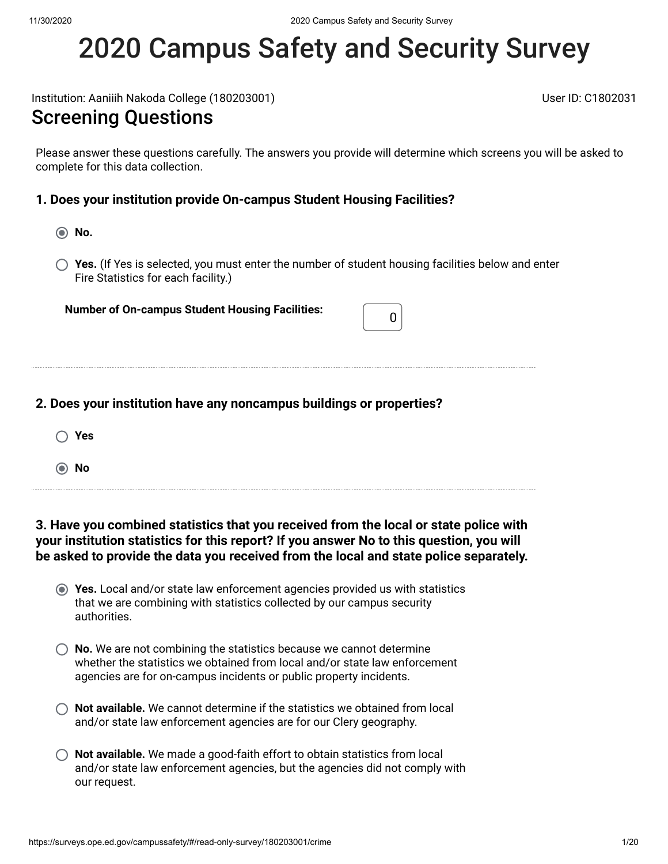# 2020 Campus Safety and Security Survey

Institution: Aaniiih Nakoda College (180203001) User ID: C1802031

### Screening Questions

Please answer these questions carefully. The answers you provide will determine which screens you will be asked to complete for this data collection.

### **1. Does your institution provide On-campus Student Housing Facilities?**

- **No.**
- **Yes.** (If Yes is selected, you must enter the number of student housing facilities below and enter Fire Statistics for each facility.)

**Number of On-campus Student Housing Facilities:** <sup>0</sup>

|  |  | 2. Does your institution have any noncampus buildings or properties? |  |  |  |  |  |
|--|--|----------------------------------------------------------------------|--|--|--|--|--|
|--|--|----------------------------------------------------------------------|--|--|--|--|--|

- **Yes**
- **No**

**3. Have you combined statistics that you received from the local or state police with your institution statistics for this report? If you answer No to this question, you will be asked to provide the data you received from the local and state police separately.**

- **Yes.** Local and/or state law enforcement agencies provided us with statistics that we are combining with statistics collected by our campus security authorities.
- **(C)** No. We are not combining the statistics because we cannot determine whether the statistics we obtained from local and/or state law enforcement agencies are for on-campus incidents or public property incidents.
- **Not available.** We cannot determine if the statistics we obtained from local and/or state law enforcement agencies are for our Clery geography.
- **Not available.** We made a good-faith effort to obtain statistics from local and/or state law enforcement agencies, but the agencies did not comply with our request.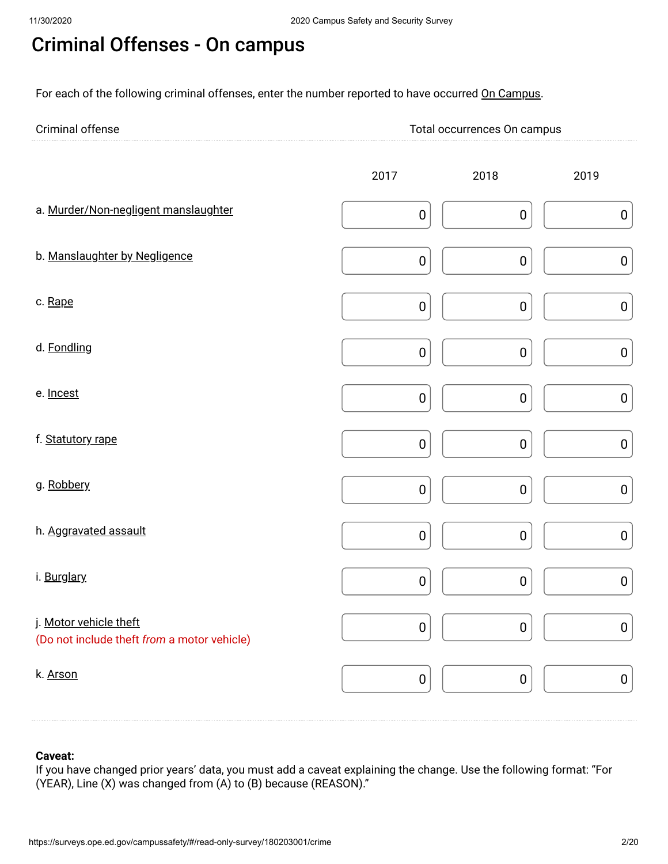# Criminal Offenses - On campus

For each of the following criminal offenses, enter the number reported to have occurred On Campus.

| Criminal<br>. | currences On I<br>carripus<br>. |
|---------------|---------------------------------|
| <b></b>       |                                 |

|                                                                       | 2017      | 2018      | 2019      |
|-----------------------------------------------------------------------|-----------|-----------|-----------|
| a. Murder/Non-negligent manslaughter                                  | $\pmb{0}$ | $\pmb{0}$ | $\pmb{0}$ |
| b. Manslaughter by Negligence                                         | $\pmb{0}$ | $\pmb{0}$ | $\pmb{0}$ |
| c. Rape                                                               | $\pmb{0}$ | $\pmb{0}$ | ${\bf 0}$ |
| d. Fondling                                                           | $\pmb{0}$ | $\pmb{0}$ | $\pmb{0}$ |
| e. Incest                                                             | $\pmb{0}$ | $\pmb{0}$ | $\pmb{0}$ |
| f. Statutory rape                                                     | $\pmb{0}$ | $\pmb{0}$ | ${\bf 0}$ |
| g. Robbery                                                            | $\pmb{0}$ | $\pmb{0}$ | ${\bf 0}$ |
| h. Aggravated assault                                                 | $\pmb{0}$ | $\pmb{0}$ | $\pmb{0}$ |
| i. Burglary                                                           | $\pmb{0}$ | $\pmb{0}$ | ${\bf 0}$ |
| j. Motor vehicle theft<br>(Do not include theft from a motor vehicle) | $\pmb{0}$ | $\pmb{0}$ | $\pmb{0}$ |
| k. Arson                                                              | $\pmb{0}$ | $\pmb{0}$ | $\pmb{0}$ |

### **Caveat:**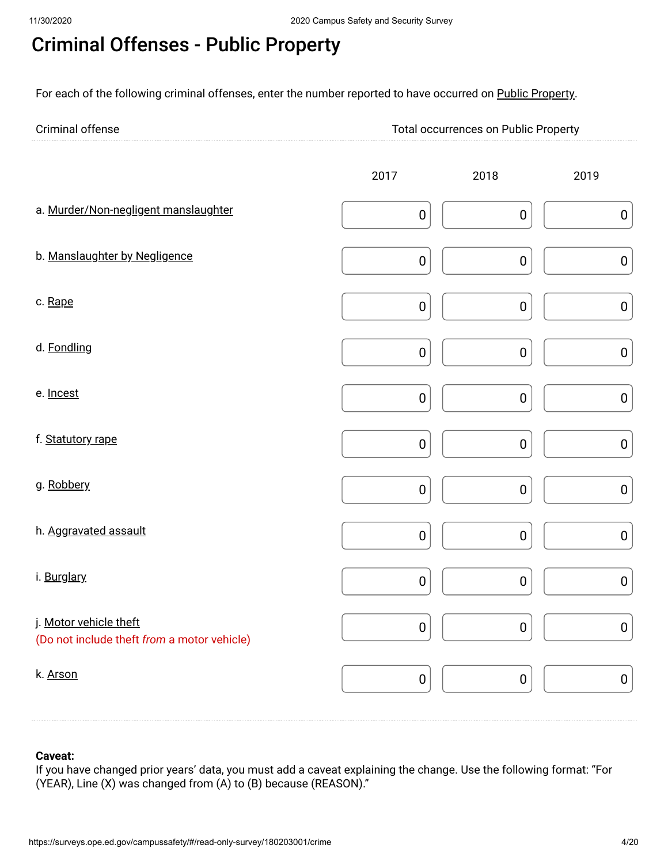# Criminal Offenses - Public Property

For each of the following criminal offenses, enter the number reported to have occurred on Public Property.

| Criminal offense | <b>Total occurrences on Public Property</b> |
|------------------|---------------------------------------------|
|                  |                                             |

|                                                                       | 2017      | 2018      | 2019      |
|-----------------------------------------------------------------------|-----------|-----------|-----------|
| a. Murder/Non-negligent manslaughter                                  | $\pmb{0}$ | $\pmb{0}$ | $\pmb{0}$ |
| b. Manslaughter by Negligence                                         | $\pmb{0}$ | $\pmb{0}$ | ${\bf 0}$ |
| c. Rape                                                               | $\pmb{0}$ | $\pmb{0}$ | $\pmb{0}$ |
| d. Fondling                                                           | $\pmb{0}$ | $\pmb{0}$ | $\pmb{0}$ |
| e. Incest                                                             | $\pmb{0}$ | $\pmb{0}$ | ${\bf 0}$ |
| f. Statutory rape                                                     | $\pmb{0}$ | $\pmb{0}$ | $\pmb{0}$ |
| g. Robbery                                                            | $\pmb{0}$ | $\pmb{0}$ | ${\bf 0}$ |
| h. Aggravated assault                                                 | $\pmb{0}$ | $\pmb{0}$ | $\pmb{0}$ |
| i. Burglary                                                           | $\pmb{0}$ | $\pmb{0}$ | $\pmb{0}$ |
| j. Motor vehicle theft<br>(Do not include theft from a motor vehicle) | $\pmb{0}$ | $\pmb{0}$ | ${\bf 0}$ |
| k. Arson                                                              | $\pmb{0}$ | $\pmb{0}$ | $\pmb{0}$ |

### **Caveat:**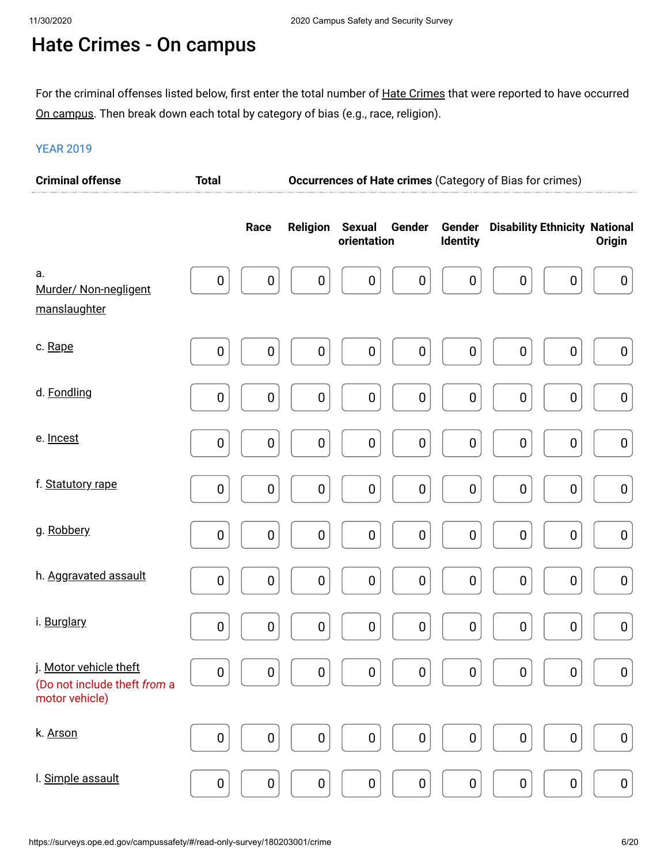# Hate Crimes - On campus

For the criminal offenses listed below, first enter the total number of <u>Hate Crimes</u> that were reported to have occurred <u>On campus</u>. Then break down each total by category of bias (e.g., race, religion).

| <b>Criminal offense</b>                                                  | <b>Total</b>     |                  |                  |                                        |                           | Occurrences of Hate crimes (Category of Bias for crimes) |                  |
|--------------------------------------------------------------------------|------------------|------------------|------------------|----------------------------------------|---------------------------|----------------------------------------------------------|------------------|
|                                                                          |                  | Race             | <b>Religion</b>  | <b>Sexual</b><br>Gender<br>orientation | Gender<br><b>Identity</b> | <b>Disability Ethnicity National</b>                     | <b>Origin</b>    |
| a.<br>Murder/ Non-negligent<br>manslaughter                              | $\boldsymbol{0}$ | $\pmb{0}$        | $\boldsymbol{0}$ | $\boldsymbol{0}$<br>$\boldsymbol{0}$   | $\boldsymbol{0}$          | $\pmb{0}$<br>$\boldsymbol{0}$                            | $\pmb{0}$        |
| c. Rape                                                                  | $\boldsymbol{0}$ | $\boldsymbol{0}$ | $\boldsymbol{0}$ | $\boldsymbol{0}$<br>$\pmb{0}$          | $\boldsymbol{0}$          | $\pmb{0}$<br>$\pmb{0}$                                   | $\boldsymbol{0}$ |
| d. Fondling                                                              | $\boldsymbol{0}$ | $\pmb{0}$        | $\boldsymbol{0}$ | $\pmb{0}$<br>$\pmb{0}$                 | $\boldsymbol{0}$          | $\pmb{0}$<br>$\pmb{0}$                                   | $\pmb{0}$        |
| e. Incest                                                                | 0                | $\pmb{0}$        | $\boldsymbol{0}$ | $\pmb{0}$<br>$\pmb{0}$                 | $\boldsymbol{0}$          | $\pmb{0}$<br>$\pmb{0}$                                   | $\pmb{0}$        |
| f. Statutory rape                                                        | $\boldsymbol{0}$ | $\pmb{0}$        | $\pmb{0}$        | $\pmb{0}$<br>$\pmb{0}$                 | $\boldsymbol{0}$          | $\pmb{0}$<br>$\pmb{0}$                                   | $\pmb{0}$        |
| g. Robbery                                                               | 0                | $\pmb{0}$        | $\boldsymbol{0}$ | $\pmb{0}$<br>$\pmb{0}$                 | $\boldsymbol{0}$          | $\pmb{0}$<br>$\pmb{0}$                                   | $\pmb{0}$        |
| h. Aggravated assault                                                    | $\pmb{0}$        | $\pmb{0}$        | $\pmb{0}$        | $\pmb{0}$<br>$\pmb{0}$                 | $\boldsymbol{0}$          | $\pmb{0}$<br>$\pmb{0}$                                   | $\pmb{0}$        |
| i. Burglary                                                              | $\boldsymbol{0}$ | $\pmb{0}$        | $\boldsymbol{0}$ | $\pmb{0}$<br>$\pmb{0}$                 | $\boldsymbol{0}$          | $\pmb{0}$<br>$\pmb{0}$                                   | $\pmb{0}$        |
| j. Motor vehicle theft<br>(Do not include theft from a<br>motor vehicle) | 0                | $\pmb{0}$        | $\pmb{0}$        | $\pmb{0}$<br>$\pmb{0}$                 | $\boldsymbol{0}$          | $\pmb{0}$<br>0                                           | $\boldsymbol{0}$ |
| k. Arson                                                                 | 0                | $\pmb{0}$        | $\pmb{0}$        | $\pmb{0}$<br>$\pmb{0}$                 | $\boldsymbol{0}$          | $\pmb{0}$<br>0                                           | $\pmb{0}$        |
| I. Simple assault                                                        | $\pmb{0}$        | $\pmb{0}$        | $\pmb{0}$        | $\pmb{0}$<br>$\pmb{0}$                 | $\boldsymbol{0}$          | $\pmb{0}$<br>$\pmb{0}$                                   | $\pmb{0}$        |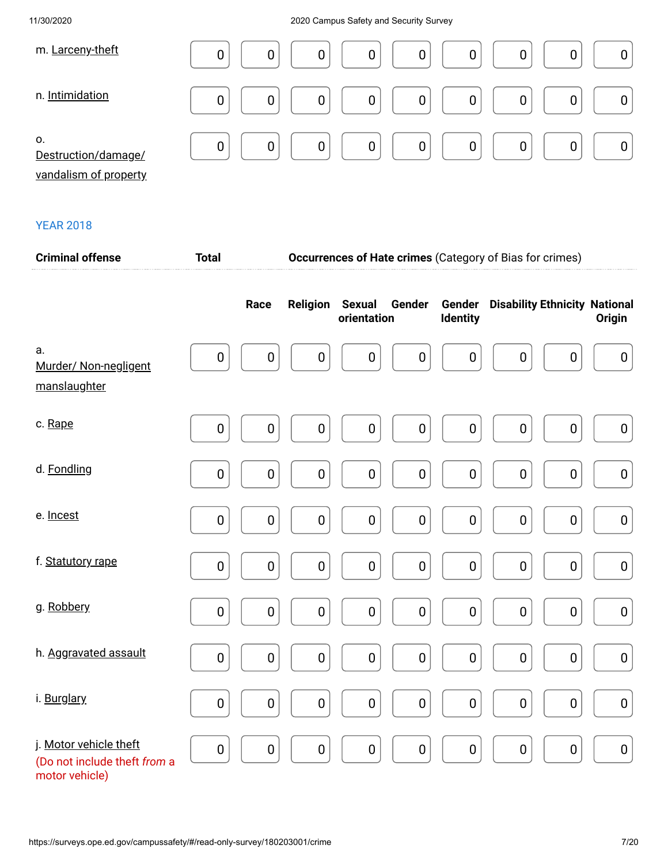| m. Larceny-theft                                   | 0<br>0<br>0<br>0<br>0                   |
|----------------------------------------------------|-----------------------------------------|
| n. Intimidation                                    | 0<br>$\overline{0}$<br>0<br>0           |
| 0.<br>Destruction/damage/<br>vandalism of property | 0<br>$\overline{0}$<br>0<br>0<br>0<br>0 |

| <b>Criminal offense</b><br><b>Total</b>                                  |           |             | <b>Occurrences of Hate crimes (Category of Bias for crimes)</b> |                              |                  |                    |                                      |                  |  |
|--------------------------------------------------------------------------|-----------|-------------|-----------------------------------------------------------------|------------------------------|------------------|--------------------|--------------------------------------|------------------|--|
|                                                                          |           | Race        | <b>Religion</b>                                                 | <b>Sexual</b><br>orientation | Gender           | Gender<br>Identity | <b>Disability Ethnicity National</b> | Origin           |  |
| a.<br>Murder/ Non-negligent<br>manslaughter                              | $\pmb{0}$ | $\pmb{0}$   | $\pmb{0}$                                                       | $\boldsymbol{0}$             | $\boldsymbol{0}$ | $\boldsymbol{0}$   | $\boldsymbol{0}$<br>$\mathbf 0$      | $\boldsymbol{0}$ |  |
| c. Rape                                                                  | $\pmb{0}$ | $\pmb{0}$   | $\pmb{0}$                                                       | $\pmb{0}$                    | $\boldsymbol{0}$ | $\pmb{0}$          | $\pmb{0}$<br>$\pmb{0}$               | $\pmb{0}$        |  |
| d. Fondling                                                              | $\pmb{0}$ | 0           | $\pmb{0}$                                                       | $\pmb{0}$                    | $\pmb{0}$        | $\pmb{0}$          | $\pmb{0}$<br>$\pmb{0}$               | $\pmb{0}$        |  |
| e. Incest                                                                | $\pmb{0}$ | 0           | $\pmb{0}$                                                       | $\pmb{0}$                    | $\boldsymbol{0}$ | $\pmb{0}$          | $\pmb{0}$<br>$\pmb{0}$               | $\pmb{0}$        |  |
| f. Statutory rape                                                        | $\pmb{0}$ | $\pmb{0}$   | $\pmb{0}$                                                       | $\pmb{0}$                    | $\pmb{0}$        | $\pmb{0}$          | $\pmb{0}$<br>$\pmb{0}$               | $\pmb{0}$        |  |
| g. Robbery                                                               | $\pmb{0}$ | $\mathbf 0$ | $\pmb{0}$                                                       | $\pmb{0}$                    | $\pmb{0}$        | $\pmb{0}$          | $\pmb{0}$<br>$\pmb{0}$               | $\pmb{0}$        |  |
| h. Aggravated assault                                                    | $\pmb{0}$ | $\pmb{0}$   | $\pmb{0}$                                                       | $\pmb{0}$                    | $\pmb{0}$        | $\pmb{0}$          | $\pmb{0}$<br>$\pmb{0}$               | $\pmb{0}$        |  |
| i. Burglary                                                              | $\pmb{0}$ | $\pmb{0}$   | $\pmb{0}$                                                       | $\pmb{0}$                    | $\pmb{0}$        | $\pmb{0}$          | $\pmb{0}$<br>$\pmb{0}$               | $\pmb{0}$        |  |
| j. Motor vehicle theft<br>(Do not include theft from a<br>motor vehicle) | $\pmb{0}$ | 0           | $\pmb{0}$                                                       | $\pmb{0}$                    | $\pmb{0}$        | $\pmb{0}$          | $\pmb{0}$<br>$\pmb{0}$               | $\pmb{0}$        |  |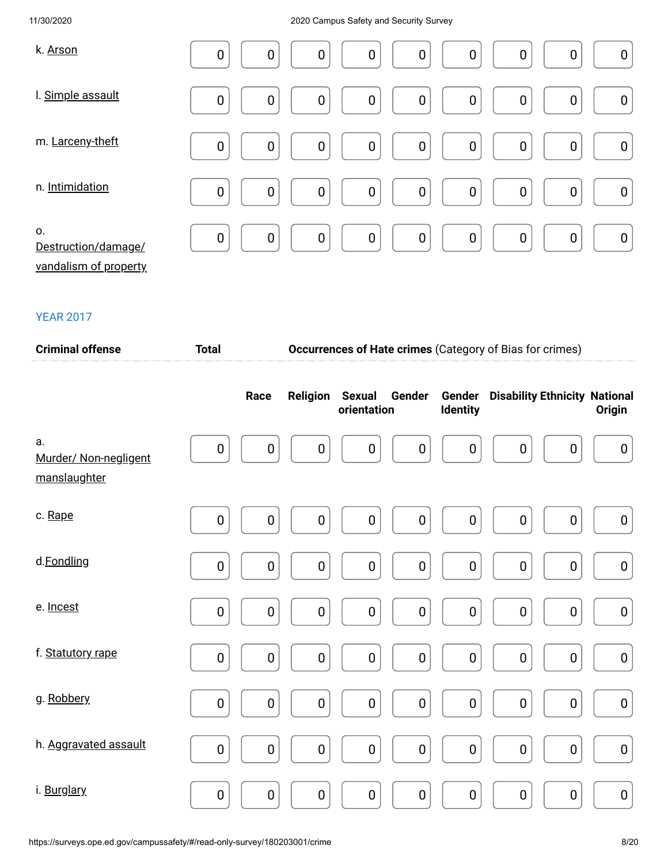| k. Arson                                           | $\mathbf 0$ | $\mathbf 0$      | 0                | $\boldsymbol{0}$ | $\boldsymbol{0}$ | $\boldsymbol{0}$ | $\boldsymbol{0}$ | 0                | $\boldsymbol{0}$ |
|----------------------------------------------------|-------------|------------------|------------------|------------------|------------------|------------------|------------------|------------------|------------------|
| I. Simple assault                                  | $\mathbf 0$ | $\boldsymbol{0}$ | $\boldsymbol{0}$ | $\boldsymbol{0}$ | $\boldsymbol{0}$ | $\boldsymbol{0}$ | $\boldsymbol{0}$ | 0                | $\boldsymbol{0}$ |
| m. Larceny-theft                                   | $\mathbf 0$ | $\boldsymbol{0}$ | $\boldsymbol{0}$ | $\boldsymbol{0}$ | $\boldsymbol{0}$ | $\boldsymbol{0}$ | $\boldsymbol{0}$ | $\boldsymbol{0}$ | $\boldsymbol{0}$ |
| n. Intimidation                                    | $\mathbf 0$ | $\mathbf 0$      | $\mathbf 0$      | $\boldsymbol{0}$ | $\mathbf 0$      | $\mathbf 0$      | $\boldsymbol{0}$ | $\mathbf 0$      | $\pmb{0}$        |
| 0.<br>Destruction/damage/<br>vandalism of property | $\mathbf 0$ | $\mathbf 0$      | $\pmb{0}$        | $\boldsymbol{0}$ | $\mathbf 0$      | $\mathbf 0$      | $\pmb{0}$        | 0                | $\pmb{0}$        |

| <b>Criminal offense</b>                     | <b>Total</b> |                  |                  |                              |                  |                    | <b>Occurrences of Hate crimes (Category of Bias for crimes)</b> |                  |                  |
|---------------------------------------------|--------------|------------------|------------------|------------------------------|------------------|--------------------|-----------------------------------------------------------------|------------------|------------------|
|                                             |              | Race             | <b>Religion</b>  | <b>Sexual</b><br>orientation | Gender           | Gender<br>Identity | <b>Disability Ethnicity National</b>                            |                  | Origin           |
| a.<br>Murder/ Non-negligent<br>manslaughter | $\mathbf 0$  | $\boldsymbol{0}$ | $\boldsymbol{0}$ | $\mathbf 0$                  | $\mathbf 0$      | $\mathbf 0$        | $\mathbf 0$                                                     | 0                | $\boldsymbol{0}$ |
| c. Rape                                     | $\pmb{0}$    | $\pmb{0}$        | $\pmb{0}$        | $\boldsymbol{0}$             | $\pmb{0}$        | $\boldsymbol{0}$   | $\boldsymbol{0}$                                                | $\boldsymbol{0}$ | $\boldsymbol{0}$ |
| d.Fondling                                  | $\pmb{0}$    | $\pmb{0}$        | $\pmb{0}$        | $\pmb{0}$                    | $\pmb{0}$        | $\pmb{0}$          | $\boldsymbol{0}$                                                | $\pmb{0}$        | $\pmb{0}$        |
| e. Incest                                   | $\mathbf 0$  | 0                | $\boldsymbol{0}$ | $\pmb{0}$                    | $\mathbf 0$      | $\mathbf 0$        | $\boldsymbol{0}$                                                | $\boldsymbol{0}$ | $\pmb{0}$        |
| f. Statutory rape                           | $\mathbf 0$  | $\pmb{0}$        | $\pmb{0}$        | $\pmb{0}$                    | $\mathbf 0$      | $\mathbf 0$        | $\boldsymbol{0}$                                                | $\mathbf 0$      | $\pmb{0}$        |
| g. Robbery                                  | $\pmb{0}$    | $\pmb{0}$        | $\pmb{0}$        | $\pmb{0}$                    | $\boldsymbol{0}$ | $\pmb{0}$          | $\pmb{0}$                                                       | $\pmb{0}$        | $\pmb{0}$        |
| h. Aggravated assault                       | $\pmb{0}$    | $\pmb{0}$        | $\pmb{0}$        | $\pmb{0}$                    | $\pmb{0}$        | $\pmb{0}$          | $\pmb{0}$                                                       | $\pmb{0}$        | $\pmb{0}$        |
| i. Burglary                                 | $\pmb{0}$    | $\pmb{0}$        | $\pmb{0}$        | $\pmb{0}$                    | $\pmb{0}$        | $\pmb{0}$          | $\mathbf 0$                                                     | $\pmb{0}$        | $\pmb{0}$        |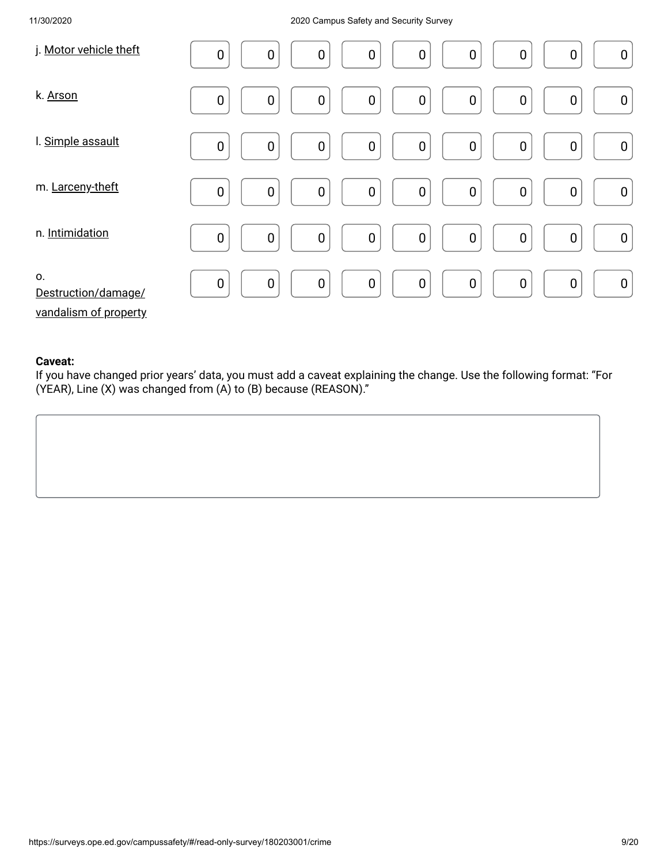| j. Motor vehicle theft                             | $\boldsymbol{0}$<br>$\boldsymbol{0}$<br>$\mathbf 0$<br>$\boldsymbol{0}$<br>0<br>$\boldsymbol{0}$<br>$\boldsymbol{0}$<br>$\boldsymbol{0}$<br>$\boldsymbol{0}$ |
|----------------------------------------------------|--------------------------------------------------------------------------------------------------------------------------------------------------------------|
| k. Arson                                           | $\boldsymbol{0}$<br>$\mathbf 0$<br>0<br>0<br>$\boldsymbol{0}$<br>$\boldsymbol{0}$<br>$\boldsymbol{0}$<br>$\boldsymbol{0}$<br>$\boldsymbol{0}$                |
| I. Simple assault                                  | $\mathbf 0$<br>$\boldsymbol{0}$<br>$\mathbf 0$<br>$\boldsymbol{0}$<br>$\boldsymbol{0}$<br>0<br>$\boldsymbol{0}$<br>$\boldsymbol{0}$<br>$\boldsymbol{0}$      |
| m. Larceny-theft                                   | $\pmb{0}$<br>$\boldsymbol{0}$<br>$\mathbf 0$<br>$\mathbf 0$<br>$\boldsymbol{0}$<br>$\pmb{0}$<br>$\mathbf 0$<br>$\boldsymbol{0}$<br>$\boldsymbol{0}$          |
| n. Intimidation                                    | $\pmb{0}$<br>$\boldsymbol{0}$<br>$\boldsymbol{0}$<br>$\mathbf 0$<br>0<br>$\mathbf 0$<br>$\boldsymbol{0}$<br>$\pmb{0}$<br>$\boldsymbol{0}$                    |
| 0.<br>Destruction/damage/<br>vandalism of property | $\pmb{0}$<br>$\mathbf 0$<br>$\mathbf 0$<br>$\mathbf 0$<br>$\boldsymbol{0}$<br>$\boldsymbol{0}$<br>$\boldsymbol{0}$<br>$\mathbf 0$<br>$\boldsymbol{0}$        |

### **Caveat:**

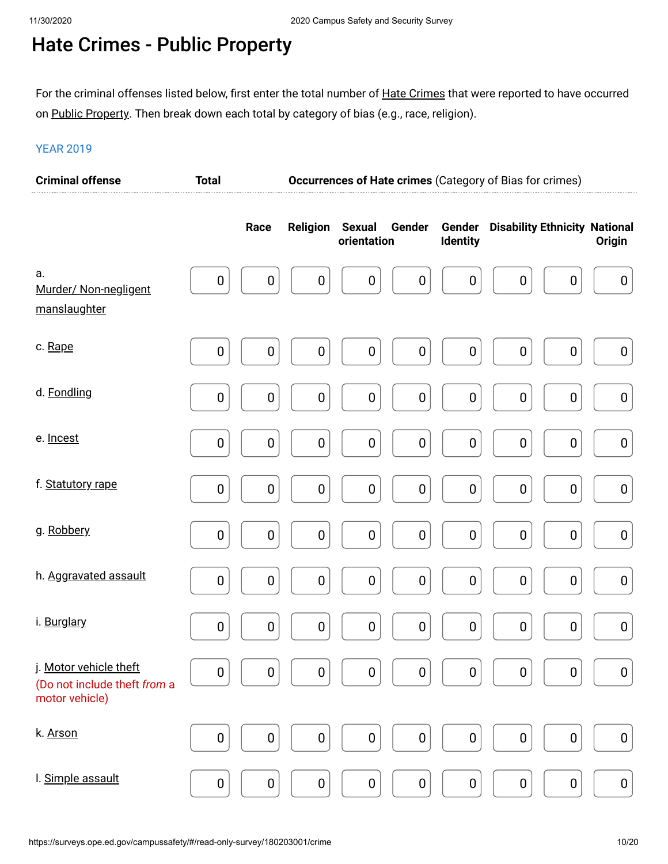### Hate Crimes - Public Property

For the criminal offenses listed below, first enter the total number of <u>Hate Crimes</u> that were reported to have occurred on <u>Public Property</u>. Then break down each total by category of bias (e.g., race, religion).

| <b>Criminal offense</b>                                                  | <b>Total</b> |                                      | <b>Occurrences of Hate crimes (Category of Bias for crimes)</b> |                           |                                      |                  |
|--------------------------------------------------------------------------|--------------|--------------------------------------|-----------------------------------------------------------------|---------------------------|--------------------------------------|------------------|
|                                                                          | Race         | <b>Religion</b>                      | <b>Sexual</b><br>Gender<br>orientation                          | Gender<br><b>Identity</b> | <b>Disability Ethnicity National</b> | <b>Origin</b>    |
| a.<br>Murder/ Non-negligent<br>manslaughter                              | $\pmb{0}$    | $\boldsymbol{0}$<br>$\boldsymbol{0}$ | $\boldsymbol{0}$<br>$\boldsymbol{0}$                            | $\boldsymbol{0}$          | $\mathbf 0$<br>$\pmb{0}$             | $\boldsymbol{0}$ |
| c. Rape                                                                  | $\pmb{0}$    | $\mathbf 0$<br>$\bf{0}$              | $\pmb{0}$<br>$\boldsymbol{0}$                                   | $\pmb{0}$                 | $\mathbf 0$<br>$\pmb{0}$             | $\pmb{0}$        |
| d. Fondling                                                              | 0            | $\pmb{0}$<br>$\boldsymbol{0}$        | $\boldsymbol{0}$<br>$\boldsymbol{0}$                            | $\pmb{0}$                 | $\mathbf 0$<br>$\pmb{0}$             | $\pmb{0}$        |
| e. Incest                                                                | 0            | $\pmb{0}$<br>$\mathbf 0$             | $\pmb{0}$<br>$\boldsymbol{0}$                                   | $\pmb{0}$                 | $\boldsymbol{0}$<br>$\pmb{0}$        | $\pmb{0}$        |
| f. Statutory rape                                                        | $\pmb{0}$    | $\pmb{0}$<br>$\boldsymbol{0}$        | $\boldsymbol{0}$<br>$\pmb{0}$                                   | $\pmb{0}$                 | $\mathbf 0$<br>$\pmb{0}$             | $\pmb{0}$        |
| g. Robbery                                                               | 0            | $\pmb{0}$<br>$\mathbf 0$             | $\pmb{0}$<br>$\boldsymbol{0}$                                   | $\pmb{0}$                 | $\boldsymbol{0}$<br>$\pmb{0}$        | $\pmb{0}$        |
| h. Aggravated assault                                                    | $\pmb{0}$    | $\pmb{0}$<br>$\pmb{0}$               | $\boldsymbol{0}$<br>$\pmb{0}$                                   | $\pmb{0}$                 | $\mathbf 0$<br>$\pmb{0}$             | $\pmb{0}$        |
| i. Burglary                                                              | 0            | $\pmb{0}$<br>$\mathbf 0$             | $\pmb{0}$<br>$\pmb{0}$                                          | $\pmb{0}$                 | $\boldsymbol{0}$<br>$\pmb{0}$        | $\pmb{0}$        |
| j. Motor vehicle theft<br>(Do not include theft from a<br>motor vehicle) | $\pmb{0}$    | $\pmb{0}$<br>$\pmb{0}$               | $\pmb{0}$<br>$\pmb{0}$                                          | $\pmb{0}$                 | $\pmb{0}$<br>$\pmb{0}$               | $\pmb{0}$        |
| k. Arson                                                                 | 0            | $\pmb{0}$<br>$\pmb{0}$               | $\pmb{0}$<br>$\mathbf 0$                                        | $\pmb{0}$                 | $\boldsymbol{0}$<br>$\pmb{0}$        | $\pmb{0}$        |
| I. Simple assault                                                        | $\pmb{0}$    | $\pmb{0}$<br>$\pmb{0}$               | $\pmb{0}$<br>$\pmb{0}$                                          | $\pmb{0}$                 | $\pmb{0}$<br>$\pmb{0}$               | $\pmb{0}$        |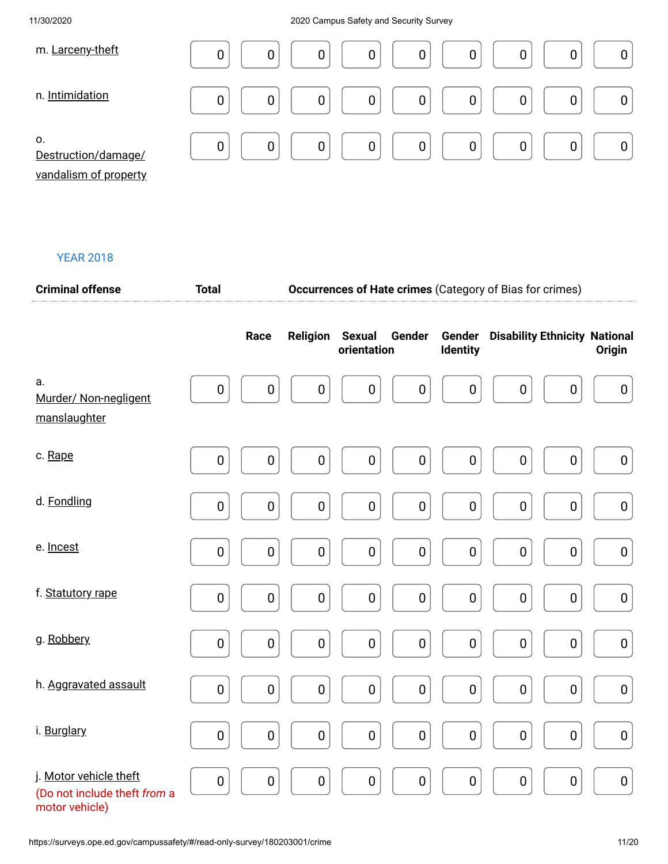| m. Larceny-theft                                   | 0<br>0<br>0<br>0<br>$\mathbf 0$<br>0<br>0                           |
|----------------------------------------------------|---------------------------------------------------------------------|
| n. Intimidation                                    | 0<br>$\overline{0}$<br>0<br>$\mathbf 0$<br>0<br>$\overline{0}$<br>0 |
| 0.<br>Destruction/damage/<br>vandalism of property | $\mathbf 0$<br>0<br>0<br>0<br>$\overline{0}$<br>0<br>0<br>0         |

| <b>Criminal offense</b>                                                  | <b>Total</b>     |             |                 |                                        |             | <b>Occurrences of Hate crimes</b> (Category of Bias for crimes) |               |
|--------------------------------------------------------------------------|------------------|-------------|-----------------|----------------------------------------|-------------|-----------------------------------------------------------------|---------------|
|                                                                          |                  | Race        | <b>Religion</b> | <b>Sexual</b><br>Gender<br>orientation | Identity    | <b>Gender</b> Disability Ethnicity National                     | <b>Origin</b> |
| a.<br>Murder/ Non-negligent<br>manslaughter                              | $\pmb{0}$        | $\pmb{0}$   | $\pmb{0}$       | $\pmb{0}$<br>$\pmb{0}$                 | $\pmb{0}$   | $\pmb{0}$<br>$\pmb{0}$                                          | $\pmb{0}$     |
| c. Rape                                                                  | $\pmb{0}$        | $\pmb{0}$   | $\pmb{0}$       | $\pmb{0}$<br>$\pmb{0}$                 | $\pmb{0}$   | $\pmb{0}$<br>$\pmb{0}$                                          | $\pmb{0}$     |
| d. Fondling                                                              | $\mathbf 0$      | $\mathbf 0$ | $\pmb{0}$       | $\mathbf 0$<br>$\pmb{0}$               | $\mathbf 0$ | $\pmb{0}$<br>$\pmb{0}$                                          | $\pmb{0}$     |
| e. Incest                                                                | $\pmb{0}$        | $\pmb{0}$   | $\pmb{0}$       | $\pmb{0}$<br>$\pmb{0}$                 | $\pmb{0}$   | $\pmb{0}$<br>$\pmb{0}$                                          | $\pmb{0}$     |
| f. Statutory rape                                                        | $\pmb{0}$        | $\pmb{0}$   | $\pmb{0}$       | $\pmb{0}$<br>$\pmb{0}$                 | $\pmb{0}$   | $\pmb{0}$<br>$\pmb{0}$                                          | $\pmb{0}$     |
| g. Robbery                                                               | $\pmb{0}$        | $\pmb{0}$   | $\pmb{0}$       | $\pmb{0}$<br>$\pmb{0}$                 | $\pmb{0}$   | $\pmb{0}$<br>$\pmb{0}$                                          | $\pmb{0}$     |
| h. Aggravated assault                                                    | $\pmb{0}$        | $\pmb{0}$   | $\pmb{0}$       | $\pmb{0}$<br>$\pmb{0}$                 | $\pmb{0}$   | $\pmb{0}$<br>$\pmb{0}$                                          | $\pmb{0}$     |
| i. Burglary                                                              | $\pmb{0}$        | $\pmb{0}$   | $\pmb{0}$       | $\pmb{0}$<br>$\pmb{0}$                 | $\pmb{0}$   | $\pmb{0}$<br>$\pmb{0}$                                          | $\pmb{0}$     |
| j. Motor vehicle theft<br>(Do not include theft from a<br>motor vehicle) | $\boldsymbol{0}$ | $\pmb{0}$   | $\pmb{0}$       | $\pmb{0}$<br>$\pmb{0}$                 | $\pmb{0}$   | $\pmb{0}$<br>$\pmb{0}$                                          | $\pmb{0}$     |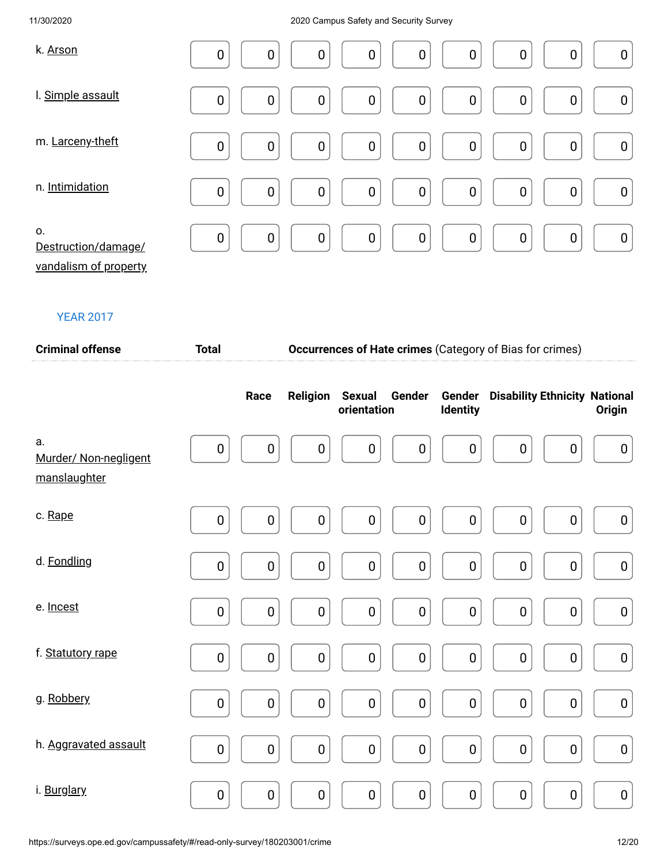| k. Arson                                           | $\mathbf 0$    | $\boldsymbol{0}$ | $\boldsymbol{0}$ | $\boldsymbol{0}$ | $\mathbf 0$      | $\boldsymbol{0}$ | $\boldsymbol{0}$ | $\boldsymbol{0}$ | $\boldsymbol{0}$ |
|----------------------------------------------------|----------------|------------------|------------------|------------------|------------------|------------------|------------------|------------------|------------------|
| I. Simple assault                                  | $\mathbf 0$    | $\boldsymbol{0}$ | $\boldsymbol{0}$ | $\mathbf 0$      | $\boldsymbol{0}$ | $\boldsymbol{0}$ | $\boldsymbol{0}$ | 0                | $\boldsymbol{0}$ |
| m. Larceny-theft                                   | $\mathbf 0$    | $\boldsymbol{0}$ | $\boldsymbol{0}$ | $\boldsymbol{0}$ | $\boldsymbol{0}$ | $\pmb{0}$        | $\boldsymbol{0}$ | $\boldsymbol{0}$ | $\boldsymbol{0}$ |
| n. Intimidation                                    | $\overline{0}$ | $\mathbf 0$      | $\boldsymbol{0}$ | $\mathbf 0$      | $\mathbf 0$      | $\boldsymbol{0}$ | $\mathbf 0$      | $\mathbf 0$      | $\pmb{0}$        |
| 0.<br>Destruction/damage/<br>vandalism of property | $\mathbf 0$    | $\mathbf 0$      | $\boldsymbol{0}$ | $\boldsymbol{0}$ | $\mathbf 0$      | $\mathbf 0$      | $\pmb{0}$        | $\mathbf 0$      | $\pmb{0}$        |

| <b>Criminal offense</b>                     | <b>Total</b>     |                  | Occurrences of Hate crimes (Category of Bias for crimes) |                              |                  |                  |                                             |                  |                  |
|---------------------------------------------|------------------|------------------|----------------------------------------------------------|------------------------------|------------------|------------------|---------------------------------------------|------------------|------------------|
|                                             |                  | Race             | <b>Religion</b>                                          | <b>Sexual</b><br>orientation | Gender           | Identity         | <b>Gender</b> Disability Ethnicity National |                  | Origin           |
| a.<br>Murder/ Non-negligent<br>manslaughter | $\boldsymbol{0}$ | 0                | $\boldsymbol{0}$                                         | $\boldsymbol{0}$             | $\boldsymbol{0}$ | 0                | 0                                           | 0                | $\boldsymbol{0}$ |
| c. Rape                                     | $\pmb{0}$        | $\bf{0}$         | $\pmb{0}$                                                | $\pmb{0}$                    | $\pmb{0}$        | $\boldsymbol{0}$ | $\boldsymbol{0}$                            | $\pmb{0}$        | $\boldsymbol{0}$ |
| d. Fondling                                 | $\pmb{0}$        | $\mathbf 0$      | $\boldsymbol{0}$                                         | $\pmb{0}$                    | $\pmb{0}$        | $\pmb{0}$        | $\pmb{0}$                                   | $\pmb{0}$        | $\pmb{0}$        |
| e. Incest                                   | $\pmb{0}$        | $\mathbf 0$      | $\pmb{0}$                                                | $\pmb{0}$                    | $\pmb{0}$        | $\pmb{0}$        | $\pmb{0}$                                   | 0                | $\pmb{0}$        |
| f. Statutory rape                           | $\pmb{0}$        | $\mathbf 0$      | $\pmb{0}$                                                | $\mathbf 0$                  | $\pmb{0}$        | $\boldsymbol{0}$ | $\pmb{0}$                                   | $\mathbf 0$      | $\pmb{0}$        |
| g. Robbery                                  | $\pmb{0}$        | $\boldsymbol{0}$ | $\pmb{0}$                                                | $\pmb{0}$                    | $\pmb{0}$        | $\boldsymbol{0}$ | $\pmb{0}$                                   | $\boldsymbol{0}$ | $\boldsymbol{0}$ |
| h. Aggravated assault                       | $\pmb{0}$        | $\mathbf 0$      | $\pmb{0}$                                                | $\pmb{0}$                    | $\pmb{0}$        | $\pmb{0}$        | $\pmb{0}$                                   | $\pmb{0}$        | $\pmb{0}$        |
| i. Burglary                                 | $\pmb{0}$        | $\pmb{0}$        | $\pmb{0}$                                                | $\pmb{0}$                    | $\pmb{0}$        | $\pmb{0}$        | $\pmb{0}$                                   | $\pmb{0}$        | $\pmb{0}$        |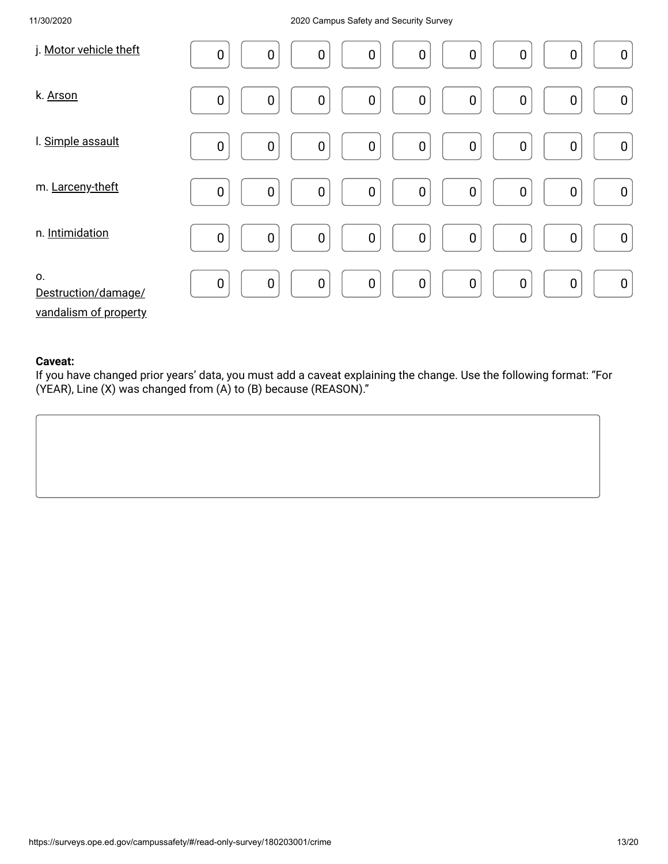| j. Motor vehicle theft                             | $\boldsymbol{0}$<br>$\boldsymbol{0}$<br>$\mathbf 0$<br>$\boldsymbol{0}$<br>0<br>$\boldsymbol{0}$<br>$\boldsymbol{0}$<br>$\boldsymbol{0}$<br>$\boldsymbol{0}$ |
|----------------------------------------------------|--------------------------------------------------------------------------------------------------------------------------------------------------------------|
| k. Arson                                           | $\boldsymbol{0}$<br>$\mathbf 0$<br>0<br>0<br>$\boldsymbol{0}$<br>$\boldsymbol{0}$<br>$\boldsymbol{0}$<br>$\boldsymbol{0}$<br>$\boldsymbol{0}$                |
| I. Simple assault                                  | $\mathbf 0$<br>$\boldsymbol{0}$<br>$\mathbf 0$<br>$\boldsymbol{0}$<br>$\boldsymbol{0}$<br>0<br>$\boldsymbol{0}$<br>$\boldsymbol{0}$<br>$\boldsymbol{0}$      |
| m. Larceny-theft                                   | $\pmb{0}$<br>$\boldsymbol{0}$<br>$\mathbf 0$<br>$\mathbf 0$<br>$\boldsymbol{0}$<br>$\pmb{0}$<br>$\mathbf 0$<br>$\boldsymbol{0}$<br>$\boldsymbol{0}$          |
| n. Intimidation                                    | $\pmb{0}$<br>$\boldsymbol{0}$<br>$\boldsymbol{0}$<br>$\overline{0}$<br>0<br>$\mathbf 0$<br>$\boldsymbol{0}$<br>$\pmb{0}$<br>$\boldsymbol{0}$                 |
| 0.<br>Destruction/damage/<br>vandalism of property | $\pmb{0}$<br>$\mathbf 0$<br>$\mathbf 0$<br>$\mathbf 0$<br>$\boldsymbol{0}$<br>$\boldsymbol{0}$<br>$\boldsymbol{0}$<br>$\mathbf 0$<br>$\boldsymbol{0}$        |

### **Caveat:**

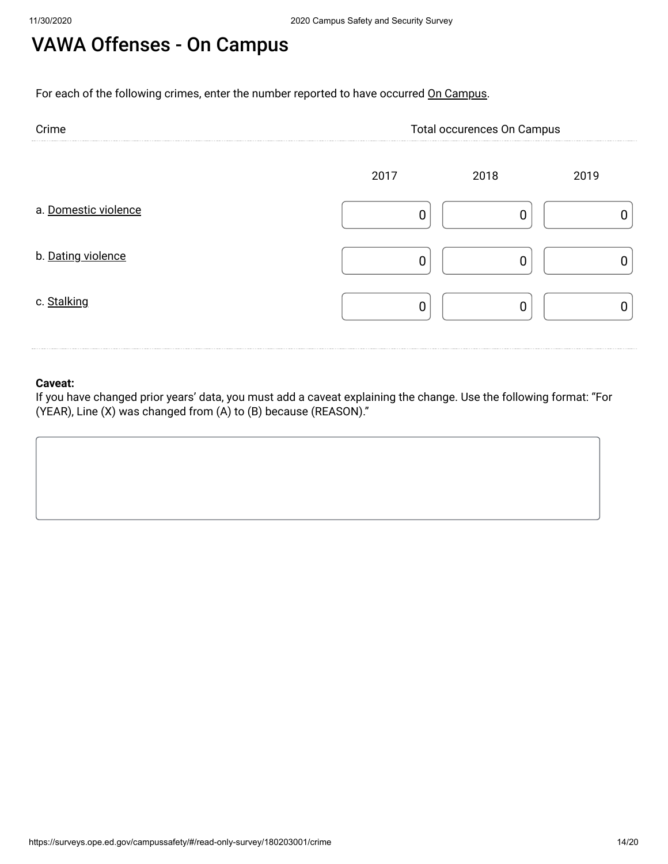# VAWA Offenses - On Campus

For each of the following crimes, enter the number reported to have occurred On Campus.

| Crime                | Total occurences On Campus |      |      |  |  |
|----------------------|----------------------------|------|------|--|--|
|                      | 2017                       | 2018 | 2019 |  |  |
| a. Domestic violence |                            |      |      |  |  |
| b. Dating violence   |                            |      |      |  |  |
| c. Stalking          |                            |      |      |  |  |

### **Caveat:**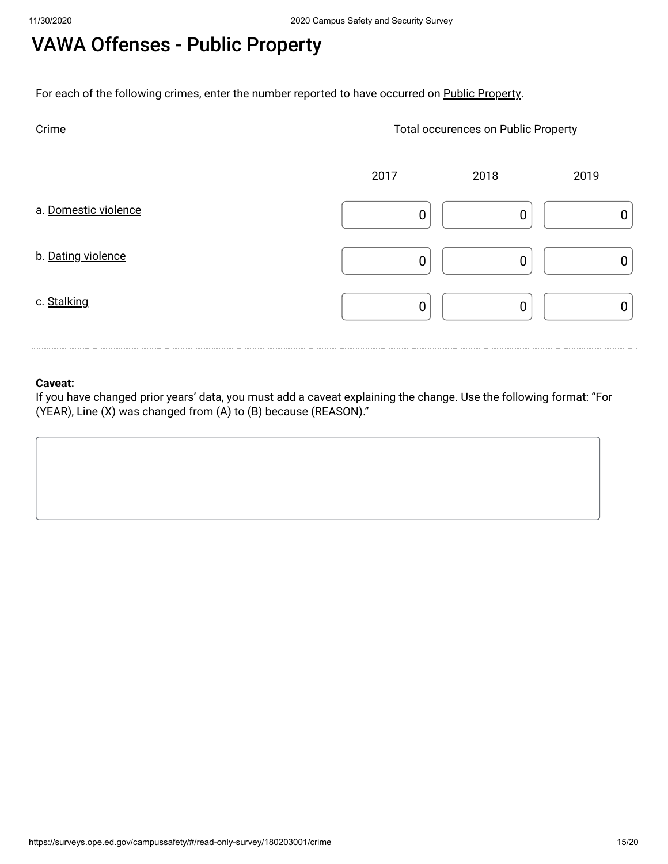# VAWA Offenses - Public Property

For each of the following crimes, enter the number reported to have occurred on Public Property.

| Crime                | <b>Total occurences on Public Property</b> |      |      |  |  |
|----------------------|--------------------------------------------|------|------|--|--|
|                      | 2017                                       | 2018 | 2019 |  |  |
| a. Domestic violence |                                            |      |      |  |  |
| b. Dating violence   |                                            |      |      |  |  |
| c. Stalking          |                                            |      |      |  |  |

### **Caveat:**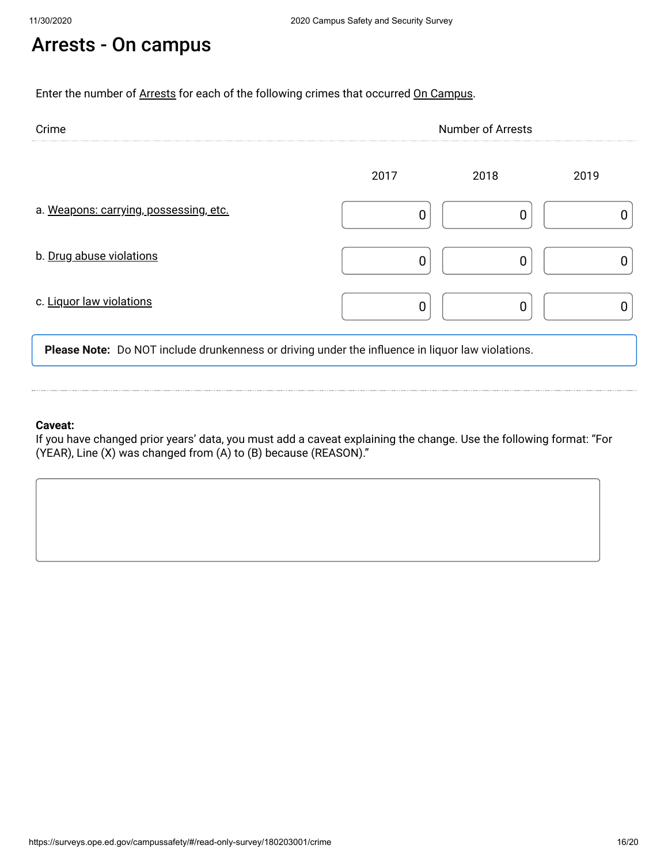# Arrests - On campus

Enter the number of Arrests for each of the following crimes that occurred On Campus.

| Crime                                  | <b>Number of Arrests</b> |      |      |  |  |
|----------------------------------------|--------------------------|------|------|--|--|
|                                        | 2017                     | 2018 | 2019 |  |  |
| a. Weapons: carrying, possessing, etc. |                          |      |      |  |  |
| b. Drug abuse violations               |                          |      |      |  |  |
| c. Liquor law violations               |                          |      |      |  |  |

**Please Note:** Do NOT include drunkenness or driving under the influence in liquor law violations.

### **Caveat:**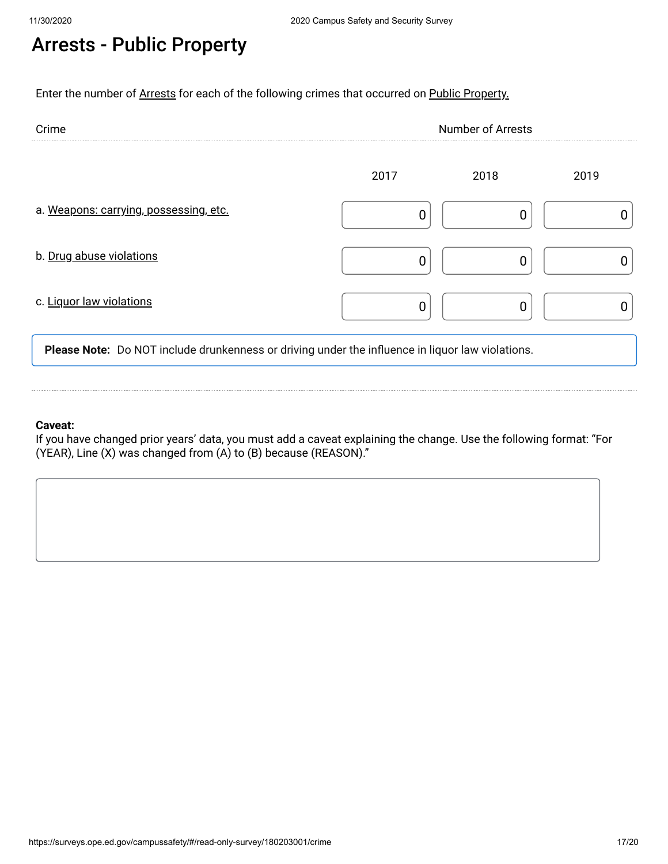# Arrests - Public Property

Enter the number of Arrests for each of the following crimes that occurred on Public Property.

| Crime                                  | <b>Number of Arrests</b> |      |      |  |  |
|----------------------------------------|--------------------------|------|------|--|--|
|                                        | 2017                     | 2018 | 2019 |  |  |
| a. Weapons: carrying, possessing, etc. |                          |      |      |  |  |
| b. Drug abuse violations               |                          |      |      |  |  |
| c. Liquor law violations               |                          |      |      |  |  |

**Please Note:** Do NOT include drunkenness or driving under the influence in liquor law violations.

#### **Caveat:**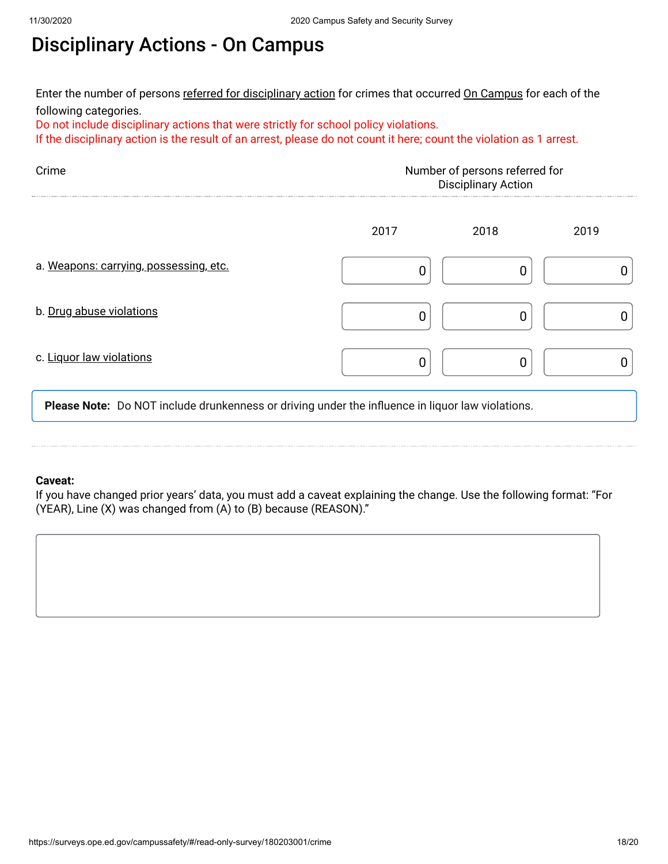# Disciplinary Actions - On Campus

Enter the number of persons <u>referred for disciplinary action</u> for crimes that occurred <u>On Campus</u> for each of the following categories.

Do not include disciplinary actions that were strictly for school policy violations.

If the disciplinary action is the result of an arrest, please do not count it here; count the violation as 1 arrest.

| Crime<br>Number of persons referred for<br><b>Disciplinary Action</b> |      |      |      |  |
|-----------------------------------------------------------------------|------|------|------|--|
|                                                                       | 2017 | 2018 | 2019 |  |
| a. Weapons: carrying, possessing, etc.                                |      |      |      |  |
| b. Drug abuse violations                                              |      |      |      |  |
| c. Liquor law violations                                              |      |      |      |  |

**Please Note:** Do NOT include drunkenness or driving under the influence in liquor law violations.

#### **Caveat:**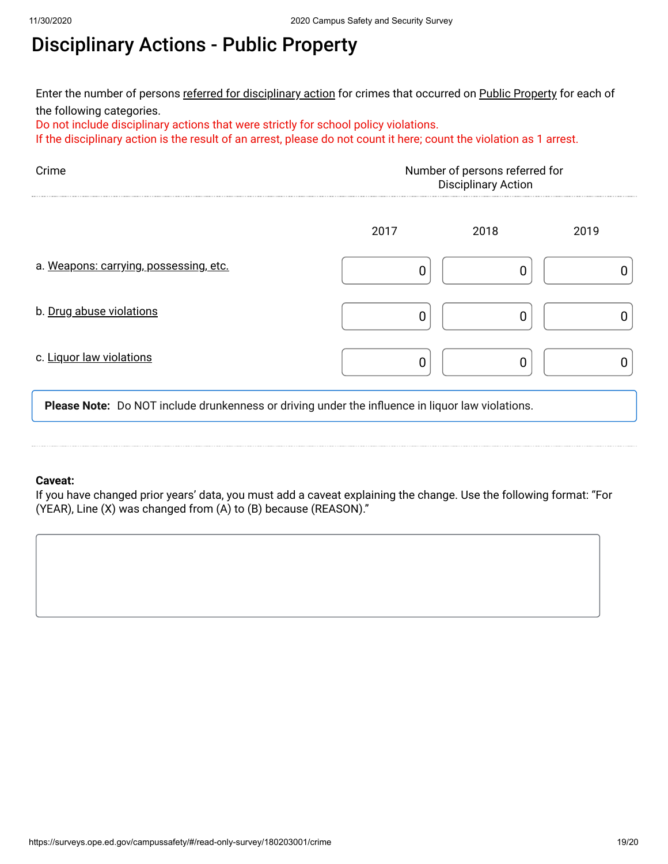# Disciplinary Actions - Public Property

Enter the number of persons <u>referred for disciplinary action</u> for crimes that occurred on <u>Public Property</u> for each of the following categories.

Do not include disciplinary actions that were strictly for school policy violations.

If the disciplinary action is the result of an arrest, please do not count it here; count the violation as 1 arrest.

| Crime                                  | Number of persons referred for<br><b>Disciplinary Action</b> |      |      |  |  |
|----------------------------------------|--------------------------------------------------------------|------|------|--|--|
|                                        | 2017                                                         | 2018 | 2019 |  |  |
| a. Weapons: carrying, possessing, etc. |                                                              |      |      |  |  |
| b. Drug abuse violations               |                                                              |      |      |  |  |
| c. Liquor law violations               |                                                              |      |      |  |  |

**Please Note:** Do NOT include drunkenness or driving under the influence in liquor law violations.

#### **Caveat:**